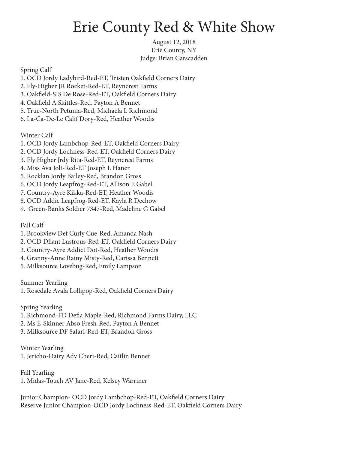## Erie County Red & White Show

August 12, 2018 Erie County, NY Judge: Brian Carscadden

Spring Calf

- 1. OCD Jordy Ladybird-Red-ET, Tristen Oakfield Corners Dairy
- 2. Fly-Higher JR Rocket-Red-ET, Reyncrest Farms
- 3. Oakfield-SIS De Rose-Red-ET, Oakfield Corners Dairy
- 4. Oakfield A Skittles-Red, Payton A Bennet
- 5. True-North Petunia-Red, Michaela L Richmond
- 6. La-Ca-De-Le Calif Dory-Red, Heather Woodis

Winter Calf

- 1. OCD Jordy Lambchop-Red-ET, Oakfield Corners Dairy
- 2. OCD Jordy Lochness-Red-ET, Oakfield Corners Dairy
- 3. Fly Higher Jrdy Rita-Red-ET, Reyncrest Farms
- 4. Miss Ava Jolt-Red-ET Joseph L Haner
- 5. Rocklan Jordy Bailey-Red, Brandon Gross
- 6. OCD Jordy Leapfrog-Red-ET, Allison E Gabel
- 7. Country-Ayre Kikka-Red-ET, Heather Woodis
- 8. OCD Addic Leapfrog-Red-ET, Kayla R Dechow
- 9. Green-Banks Soldier 7347-Red, Madeline G Gabel

Fall Calf

- 1. Brookview Def Curly Cue-Red, Amanda Nash
- 2. OCD Dfiant Lustrous-Red-ET, Oakfield Corners Dairy
- 3. Country-Ayre Addict Dot-Red, Heather Woodis
- 4. Granny-Anne Rainy Misty-Red, Carissa Bennett
- 5. Milksource Lovebug-Red, Emily Lampson

Summer Yearling

1. Rosedale Avala Lollipop-Red, Oakfield Corners Dairy

Spring Yearling

- 1. Richmond-FD Defia Maple-Red, Richmond Farms Dairy, LLC
- 2. Ms E-Skinner Abso Fresh-Red, Payton A Bennet
- 3. Milksource DF Safari-Red-ET, Brandon Gross

Winter Yearling

1. Jericho-Dairy Adv Cheri-Red, Caitlin Bennet

Fall Yearling 1. Midas-Touch AV Jane-Red, Kelsey Warriner

Junior Champion- OCD Jordy Lambchop-Red-ET, Oakfield Corners Dairy Reserve Junior Champion-OCD Jordy Lochness-Red-ET, Oakfield Corners Dairy